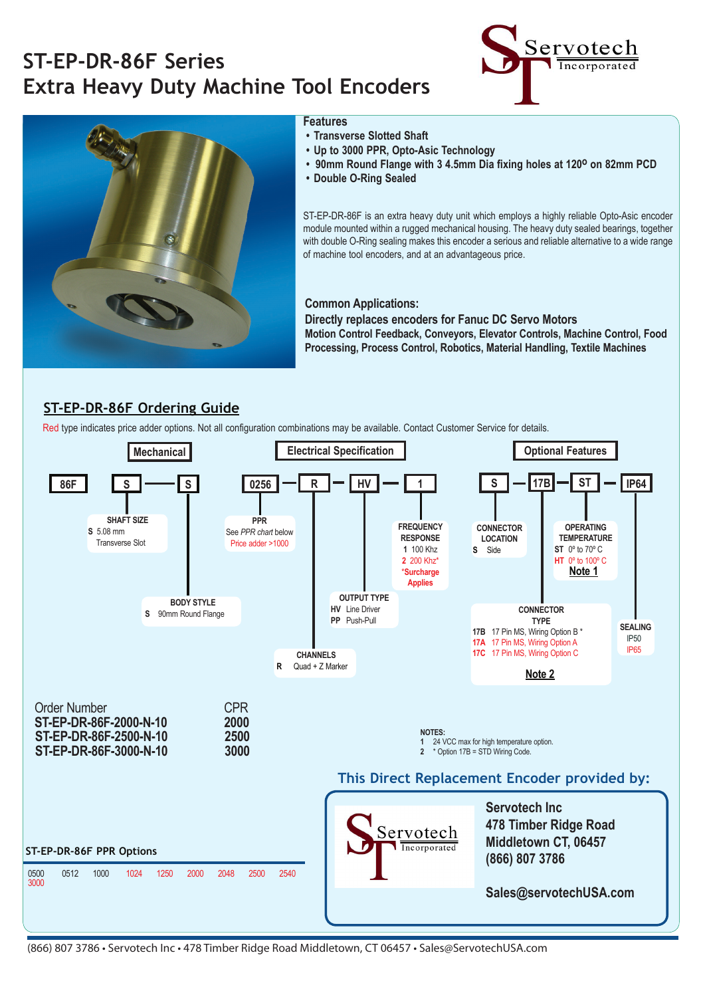# **ST-EP-DR-86F Series Extra Heavy Duty Machine Tool Encoders**





#### **Features**

- **Transverse Slotted Shaft**
- **Up to 3000 PPR, Opto-Asic Technology**
- **90mm Round Flange with 3 4.5mm Dia fixing holes at 120° on 82mm PCD**
- **Double O-Ring Sealed**

ST-EP-DR-86F is an extra heavy duty unit which employs a highly reliable Opto-Asic encoder module mounted within a rugged mechanical housing. The heavy duty sealed bearings, together with double O-Ring sealing makes this encoder a serious and reliable alternative to a wide range of machine tool encoders, and at an advantageous price.

### **Common Applications:**

**Directly replaces encoders for Fanuc DC Servo Motors Motion Control Feedback, Conveyors, Elevator Controls, Machine Control, Food Processing, Process Control, Robotics, Material Handling, Textile Machines**

### **ST-EP-DR-86F Ordering Guide**

Red type indicates price adder options. Not all configuration combinations may be available. Contact Customer Service for details.



<sup>(866) 807 3786 •</sup> Servotech Inc • 478 Timber Ridge Road Middletown, CT 06457 • Sales@ServotechUSA.com